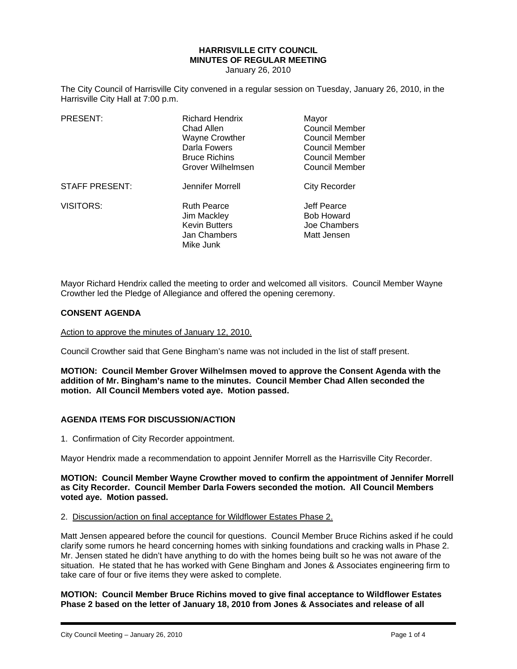# **HARRISVILLE CITY COUNCIL MINUTES OF REGULAR MEETING**

January 26, 2010

The City Council of Harrisville City convened in a regular session on Tuesday, January 26, 2010, in the Harrisville City Hall at 7:00 p.m.

| PRESENT:              | <b>Richard Hendrix</b><br>Chad Allen<br><b>Wayne Crowther</b><br>Darla Fowers<br><b>Bruce Richins</b><br>Grover Wilhelmsen | Mayor<br><b>Council Member</b><br>Council Member<br>Council Member<br>Council Member<br>Council Member |
|-----------------------|----------------------------------------------------------------------------------------------------------------------------|--------------------------------------------------------------------------------------------------------|
| <b>STAFF PRESENT:</b> | Jennifer Morrell                                                                                                           | <b>City Recorder</b>                                                                                   |
| <b>VISITORS:</b>      | <b>Ruth Pearce</b><br>Jim Mackley<br><b>Kevin Butters</b><br>Jan Chambers<br>Mike Junk                                     | Jeff Pearce<br><b>Bob Howard</b><br>Joe Chambers<br>Matt Jensen                                        |

Mayor Richard Hendrix called the meeting to order and welcomed all visitors. Council Member Wayne Crowther led the Pledge of Allegiance and offered the opening ceremony.

#### **CONSENT AGENDA**

Action to approve the minutes of January 12, 2010.

Council Crowther said that Gene Bingham's name was not included in the list of staff present.

**MOTION: Council Member Grover Wilhelmsen moved to approve the Consent Agenda with the addition of Mr. Bingham's name to the minutes. Council Member Chad Allen seconded the motion. All Council Members voted aye. Motion passed.** 

#### **AGENDA ITEMS FOR DISCUSSION/ACTION**

1. Confirmation of City Recorder appointment.

Mayor Hendrix made a recommendation to appoint Jennifer Morrell as the Harrisville City Recorder.

#### **MOTION: Council Member Wayne Crowther moved to confirm the appointment of Jennifer Morrell as City Recorder. Council Member Darla Fowers seconded the motion. All Council Members voted aye. Motion passed.**

# 2. Discussion/action on final acceptance for Wildflower Estates Phase 2.

Matt Jensen appeared before the council for questions. Council Member Bruce Richins asked if he could clarify some rumors he heard concerning homes with sinking foundations and cracking walls in Phase 2. Mr. Jensen stated he didn't have anything to do with the homes being built so he was not aware of the situation. He stated that he has worked with Gene Bingham and Jones & Associates engineering firm to take care of four or five items they were asked to complete.

**MOTION: Council Member Bruce Richins moved to give final acceptance to Wildflower Estates Phase 2 based on the letter of January 18, 2010 from Jones & Associates and release of all**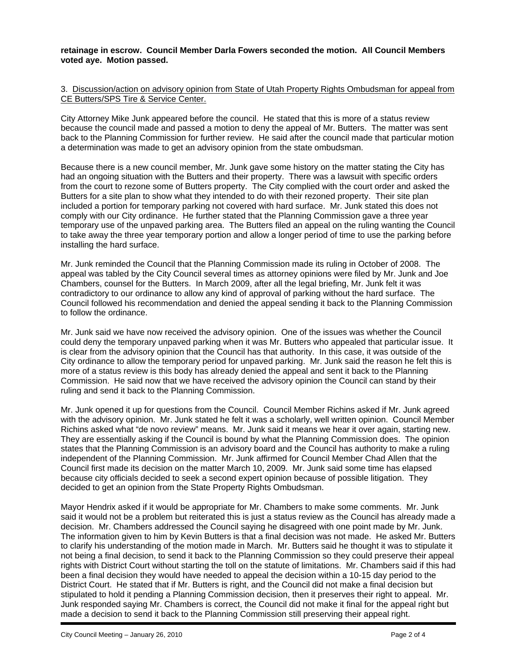### **retainage in escrow. Council Member Darla Fowers seconded the motion. All Council Members voted aye. Motion passed.**

#### 3. Discussion/action on advisory opinion from State of Utah Property Rights Ombudsman for appeal from CE Butters/SPS Tire & Service Center.

City Attorney Mike Junk appeared before the council. He stated that this is more of a status review because the council made and passed a motion to deny the appeal of Mr. Butters. The matter was sent back to the Planning Commission for further review. He said after the council made that particular motion a determination was made to get an advisory opinion from the state ombudsman.

Because there is a new council member, Mr. Junk gave some history on the matter stating the City has had an ongoing situation with the Butters and their property. There was a lawsuit with specific orders from the court to rezone some of Butters property. The City complied with the court order and asked the Butters for a site plan to show what they intended to do with their rezoned property. Their site plan included a portion for temporary parking not covered with hard surface. Mr. Junk stated this does not comply with our City ordinance. He further stated that the Planning Commission gave a three year temporary use of the unpaved parking area. The Butters filed an appeal on the ruling wanting the Council to take away the three year temporary portion and allow a longer period of time to use the parking before installing the hard surface.

Mr. Junk reminded the Council that the Planning Commission made its ruling in October of 2008. The appeal was tabled by the City Council several times as attorney opinions were filed by Mr. Junk and Joe Chambers, counsel for the Butters. In March 2009, after all the legal briefing, Mr. Junk felt it was contradictory to our ordinance to allow any kind of approval of parking without the hard surface. The Council followed his recommendation and denied the appeal sending it back to the Planning Commission to follow the ordinance.

Mr. Junk said we have now received the advisory opinion. One of the issues was whether the Council could deny the temporary unpaved parking when it was Mr. Butters who appealed that particular issue. It is clear from the advisory opinion that the Council has that authority. In this case, it was outside of the City ordinance to allow the temporary period for unpaved parking. Mr. Junk said the reason he felt this is more of a status review is this body has already denied the appeal and sent it back to the Planning Commission. He said now that we have received the advisory opinion the Council can stand by their ruling and send it back to the Planning Commission.

Mr. Junk opened it up for questions from the Council. Council Member Richins asked if Mr. Junk agreed with the advisory opinion. Mr. Junk stated he felt it was a scholarly, well written opinion. Council Member Richins asked what "de novo review" means. Mr. Junk said it means we hear it over again, starting new. They are essentially asking if the Council is bound by what the Planning Commission does. The opinion states that the Planning Commission is an advisory board and the Council has authority to make a ruling independent of the Planning Commission. Mr. Junk affirmed for Council Member Chad Allen that the Council first made its decision on the matter March 10, 2009. Mr. Junk said some time has elapsed because city officials decided to seek a second expert opinion because of possible litigation. They decided to get an opinion from the State Property Rights Ombudsman.

Mayor Hendrix asked if it would be appropriate for Mr. Chambers to make some comments. Mr. Junk said it would not be a problem but reiterated this is just a status review as the Council has already made a decision. Mr. Chambers addressed the Council saying he disagreed with one point made by Mr. Junk. The information given to him by Kevin Butters is that a final decision was not made. He asked Mr. Butters to clarify his understanding of the motion made in March. Mr. Butters said he thought it was to stipulate it not being a final decision, to send it back to the Planning Commission so they could preserve their appeal rights with District Court without starting the toll on the statute of limitations. Mr. Chambers said if this had been a final decision they would have needed to appeal the decision within a 10-15 day period to the District Court. He stated that if Mr. Butters is right, and the Council did not make a final decision but stipulated to hold it pending a Planning Commission decision, then it preserves their right to appeal. Mr. Junk responded saying Mr. Chambers is correct, the Council did not make it final for the appeal right but made a decision to send it back to the Planning Commission still preserving their appeal right.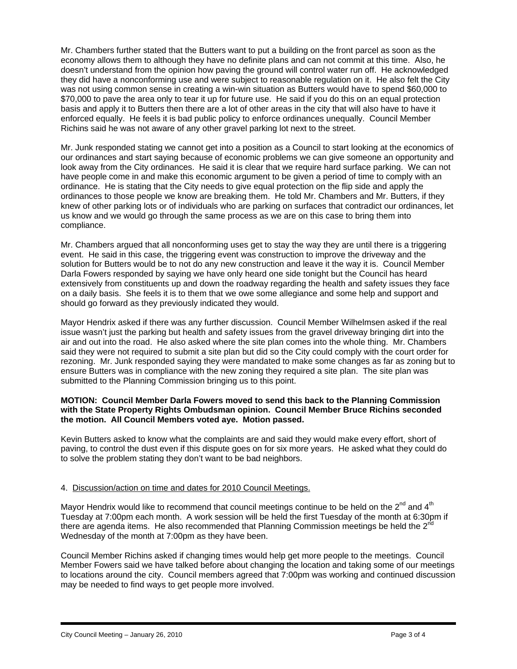Mr. Chambers further stated that the Butters want to put a building on the front parcel as soon as the economy allows them to although they have no definite plans and can not commit at this time. Also, he doesn't understand from the opinion how paving the ground will control water run off. He acknowledged they did have a nonconforming use and were subject to reasonable regulation on it. He also felt the City was not using common sense in creating a win-win situation as Butters would have to spend \$60,000 to \$70,000 to pave the area only to tear it up for future use. He said if you do this on an equal protection basis and apply it to Butters then there are a lot of other areas in the city that will also have to have it enforced equally. He feels it is bad public policy to enforce ordinances unequally. Council Member Richins said he was not aware of any other gravel parking lot next to the street.

Mr. Junk responded stating we cannot get into a position as a Council to start looking at the economics of our ordinances and start saying because of economic problems we can give someone an opportunity and look away from the City ordinances. He said it is clear that we require hard surface parking. We can not have people come in and make this economic argument to be given a period of time to comply with an ordinance. He is stating that the City needs to give equal protection on the flip side and apply the ordinances to those people we know are breaking them. He told Mr. Chambers and Mr. Butters, if they knew of other parking lots or of individuals who are parking on surfaces that contradict our ordinances, let us know and we would go through the same process as we are on this case to bring them into compliance.

Mr. Chambers argued that all nonconforming uses get to stay the way they are until there is a triggering event. He said in this case, the triggering event was construction to improve the driveway and the solution for Butters would be to not do any new construction and leave it the way it is. Council Member Darla Fowers responded by saying we have only heard one side tonight but the Council has heard extensively from constituents up and down the roadway regarding the health and safety issues they face on a daily basis. She feels it is to them that we owe some allegiance and some help and support and should go forward as they previously indicated they would.

Mayor Hendrix asked if there was any further discussion. Council Member Wilhelmsen asked if the real issue wasn't just the parking but health and safety issues from the gravel driveway bringing dirt into the air and out into the road. He also asked where the site plan comes into the whole thing. Mr. Chambers said they were not required to submit a site plan but did so the City could comply with the court order for rezoning. Mr. Junk responded saying they were mandated to make some changes as far as zoning but to ensure Butters was in compliance with the new zoning they required a site plan. The site plan was submitted to the Planning Commission bringing us to this point.

## **MOTION: Council Member Darla Fowers moved to send this back to the Planning Commission with the State Property Rights Ombudsman opinion. Council Member Bruce Richins seconded the motion. All Council Members voted aye. Motion passed.**

Kevin Butters asked to know what the complaints are and said they would make every effort, short of paving, to control the dust even if this dispute goes on for six more years. He asked what they could do to solve the problem stating they don't want to be bad neighbors.

# 4. Discussion/action on time and dates for 2010 Council Meetings.

Mayor Hendrix would like to recommend that council meetings continue to be held on the  $2^{nd}$  and  $4^{th}$ Tuesday at 7:00pm each month. A work session will be held the first Tuesday of the month at 6:30pm if there are agenda items. He also recommended that Planning Commission meetings be held the  $2^{nc}$ Wednesday of the month at 7:00pm as they have been.

Council Member Richins asked if changing times would help get more people to the meetings. Council Member Fowers said we have talked before about changing the location and taking some of our meetings to locations around the city. Council members agreed that 7:00pm was working and continued discussion may be needed to find ways to get people more involved.